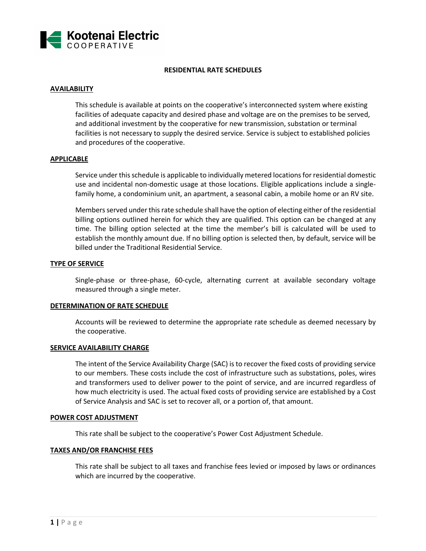

### **RESIDENTIAL RATE SCHEDULES**

# **AVAILABILITY**

This schedule is available at points on the cooperative's interconnected system where existing facilities of adequate capacity and desired phase and voltage are on the premises to be served, and additional investment by the cooperative for new transmission, substation or terminal facilities is not necessary to supply the desired service. Service is subject to established policies and procedures of the cooperative.

## **APPLICABLE**

Service under this schedule is applicable to individually metered locations for residential domestic use and incidental non-domestic usage at those locations. Eligible applications include a singlefamily home, a condominium unit, an apartment, a seasonal cabin, a mobile home or an RV site.

Members served under this rate schedule shall have the option of electing either of the residential billing options outlined herein for which they are qualified. This option can be changed at any time. The billing option selected at the time the member's bill is calculated will be used to establish the monthly amount due. If no billing option is selected then, by default, service will be billed under the Traditional Residential Service.

## **TYPE OF SERVICE**

Single-phase or three-phase, 60-cycle, alternating current at available secondary voltage measured through a single meter.

### **DETERMINATION OF RATE SCHEDULE**

Accounts will be reviewed to determine the appropriate rate schedule as deemed necessary by the cooperative.

### **SERVICE AVAILABILITY CHARGE**

The intent of the Service Availability Charge (SAC) is to recover the fixed costs of providing service to our members. These costs include the cost of infrastructure such as substations, poles, wires and transformers used to deliver power to the point of service, and are incurred regardless of how much electricity is used. The actual fixed costs of providing service are established by a Cost of Service Analysis and SAC is set to recover all, or a portion of, that amount.

### **POWER COST ADJUSTMENT**

This rate shall be subject to the cooperative's Power Cost Adjustment Schedule.

### **TAXES AND/OR FRANCHISE FEES**

This rate shall be subject to all taxes and franchise fees levied or imposed by laws or ordinances which are incurred by the cooperative.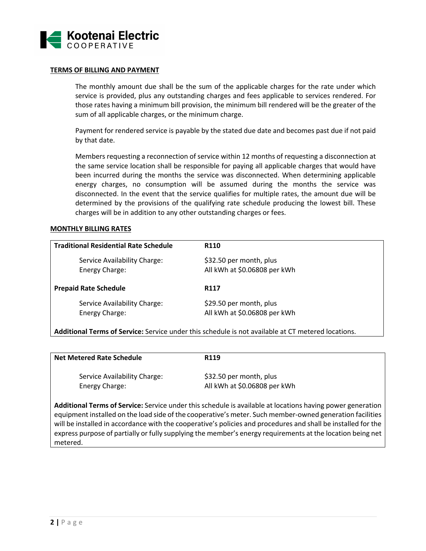

#### **TERMS OF BILLING AND PAYMENT**

The monthly amount due shall be the sum of the applicable charges for the rate under which service is provided, plus any outstanding charges and fees applicable to services rendered. For those rates having a minimum bill provision, the minimum bill rendered will be the greater of the sum of all applicable charges, or the minimum charge.

Payment for rendered service is payable by the stated due date and becomes past due if not paid by that date.

Members requesting a reconnection of service within 12 months of requesting a disconnection at the same service location shall be responsible for paying all applicable charges that would have been incurred during the months the service was disconnected. When determining applicable energy charges, no consumption will be assumed during the months the service was disconnected. In the event that the service qualifies for multiple rates, the amount due will be determined by the provisions of the qualifying rate schedule producing the lowest bill. These charges will be in addition to any other outstanding charges or fees.

#### **MONTHLY BILLING RATES**

| <b>Traditional Residential Rate Schedule</b>   | <b>R110</b>                                             |
|------------------------------------------------|---------------------------------------------------------|
| Service Availability Charge:<br>Energy Charge: | \$32.50 per month, plus<br>All kWh at \$0.06808 per kWh |
|                                                |                                                         |
| <b>Prepaid Rate Schedule</b>                   | R <sub>117</sub>                                        |

**Additional Terms of Service:** Service under this schedule is not available at CT metered locations.

| <b>Net Metered Rate Schedule</b>                                                                           | R <sub>119</sub>                                        |
|------------------------------------------------------------------------------------------------------------|---------------------------------------------------------|
| Service Availability Charge:<br>Energy Charge:                                                             | \$32.50 per month, plus<br>All kWh at \$0.06808 per kWh |
| Additional Terms of Service: Service under this schedule is available at locations having nower generation |                                                         |

**Additional Terms of Service:** Service under this schedule is available at locations having power generation equipment installed on the load side of the cooperative's meter. Such member-owned generation facilities will be installed in accordance with the cooperative's policies and procedures and shall be installed for the express purpose of partially or fully supplying the member's energy requirements at the location being net metered.